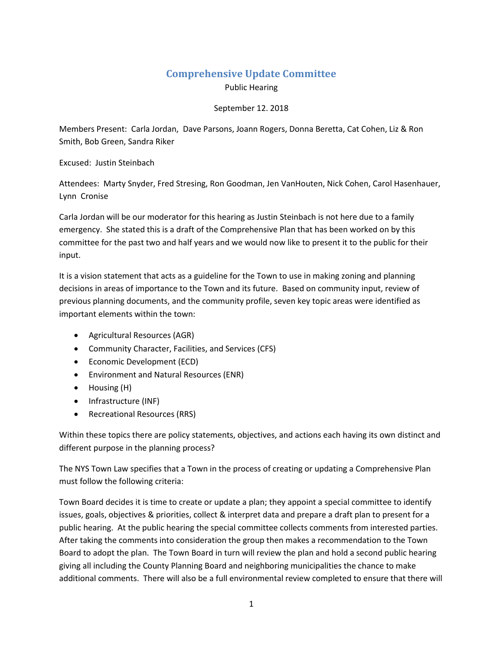## **Comprehensive Update Committee**

Public Hearing

## September 12. 2018

Members Present: Carla Jordan, Dave Parsons, Joann Rogers, Donna Beretta, Cat Cohen, Liz & Ron Smith, Bob Green, Sandra Riker

Excused: Justin Steinbach

Attendees: Marty Snyder, Fred Stresing, Ron Goodman, Jen VanHouten, Nick Cohen, Carol Hasenhauer, Lynn Cronise

Carla Jordan will be our moderator for this hearing as Justin Steinbach is not here due to a family emergency. She stated this is a draft of the Comprehensive Plan that has been worked on by this committee for the past two and half years and we would now like to present it to the public for their input.

It is a vision statement that acts as a guideline for the Town to use in making zoning and planning decisions in areas of importance to the Town and its future. Based on community input, review of previous planning documents, and the community profile, seven key topic areas were identified as important elements within the town:

- Agricultural Resources (AGR)
- Community Character, Facilities, and Services (CFS)
- Economic Development (ECD)
- Environment and Natural Resources (ENR)
- Housing (H)
- Infrastructure (INF)
- Recreational Resources (RRS)

Within these topics there are policy statements, objectives, and actions each having its own distinct and different purpose in the planning process?

The NYS Town Law specifies that a Town in the process of creating or updating a Comprehensive Plan must follow the following criteria:

Town Board decides it is time to create or update a plan; they appoint a special committee to identify issues, goals, objectives & priorities, collect & interpret data and prepare a draft plan to present for a public hearing. At the public hearing the special committee collects comments from interested parties. After taking the comments into consideration the group then makes a recommendation to the Town Board to adopt the plan. The Town Board in turn will review the plan and hold a second public hearing giving all including the County Planning Board and neighboring municipalities the chance to make additional comments. There will also be a full environmental review completed to ensure that there will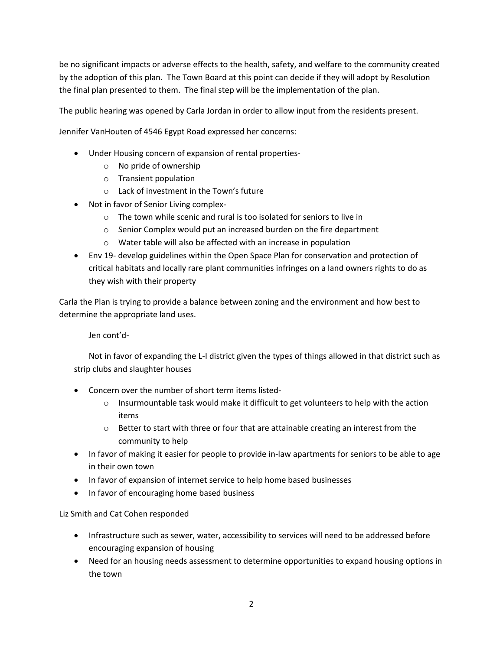be no significant impacts or adverse effects to the health, safety, and welfare to the community created by the adoption of this plan. The Town Board at this point can decide if they will adopt by Resolution the final plan presented to them. The final step will be the implementation of the plan.

The public hearing was opened by Carla Jordan in order to allow input from the residents present.

Jennifer VanHouten of 4546 Egypt Road expressed her concerns:

- Under Housing concern of expansion of rental properties
	- o No pride of ownership
	- o Transient population
	- o Lack of investment in the Town's future
- Not in favor of Senior Living complex
	- o The town while scenic and rural is too isolated for seniors to live in
	- o Senior Complex would put an increased burden on the fire department
	- o Water table will also be affected with an increase in population
- Env 19- develop guidelines within the Open Space Plan for conservation and protection of critical habitats and locally rare plant communities infringes on a land owners rights to do as they wish with their property

Carla the Plan is trying to provide a balance between zoning and the environment and how best to determine the appropriate land uses.

Jen cont'd-

Not in favor of expanding the L-I district given the types of things allowed in that district such as strip clubs and slaughter houses

- Concern over the number of short term items listed-
	- $\circ$  Insurmountable task would make it difficult to get volunteers to help with the action items
	- $\circ$  Better to start with three or four that are attainable creating an interest from the community to help
- In favor of making it easier for people to provide in-law apartments for seniors to be able to age in their own town
- In favor of expansion of internet service to help home based businesses
- In favor of encouraging home based business

Liz Smith and Cat Cohen responded

- Infrastructure such as sewer, water, accessibility to services will need to be addressed before encouraging expansion of housing
- Need for an housing needs assessment to determine opportunities to expand housing options in the town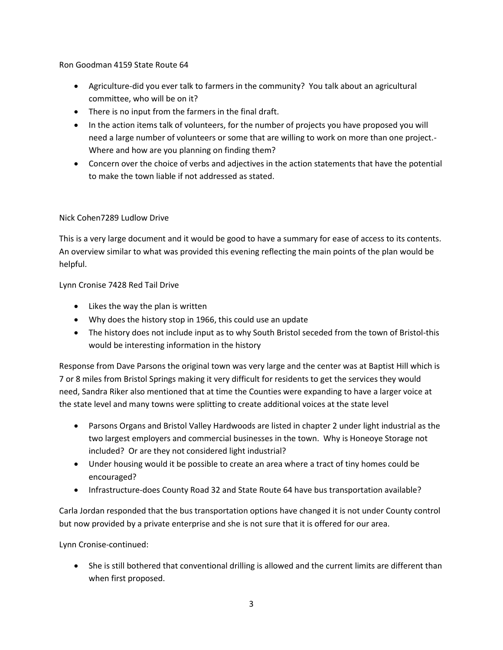Ron Goodman 4159 State Route 64

- Agriculture-did you ever talk to farmers in the community? You talk about an agricultural committee, who will be on it?
- There is no input from the farmers in the final draft.
- In the action items talk of volunteers, for the number of projects you have proposed you will need a large number of volunteers or some that are willing to work on more than one project.- Where and how are you planning on finding them?
- Concern over the choice of verbs and adjectives in the action statements that have the potential to make the town liable if not addressed as stated.

## Nick Cohen7289 Ludlow Drive

This is a very large document and it would be good to have a summary for ease of access to its contents. An overview similar to what was provided this evening reflecting the main points of the plan would be helpful.

Lynn Cronise 7428 Red Tail Drive

- Likes the way the plan is written
- Why does the history stop in 1966, this could use an update
- The history does not include input as to why South Bristol seceded from the town of Bristol-this would be interesting information in the history

Response from Dave Parsons the original town was very large and the center was at Baptist Hill which is 7 or 8 miles from Bristol Springs making it very difficult for residents to get the services they would need, Sandra Riker also mentioned that at time the Counties were expanding to have a larger voice at the state level and many towns were splitting to create additional voices at the state level

- Parsons Organs and Bristol Valley Hardwoods are listed in chapter 2 under light industrial as the two largest employers and commercial businesses in the town. Why is Honeoye Storage not included? Or are they not considered light industrial?
- Under housing would it be possible to create an area where a tract of tiny homes could be encouraged?
- Infrastructure-does County Road 32 and State Route 64 have bus transportation available?

Carla Jordan responded that the bus transportation options have changed it is not under County control but now provided by a private enterprise and she is not sure that it is offered for our area.

Lynn Cronise-continued:

 She is still bothered that conventional drilling is allowed and the current limits are different than when first proposed.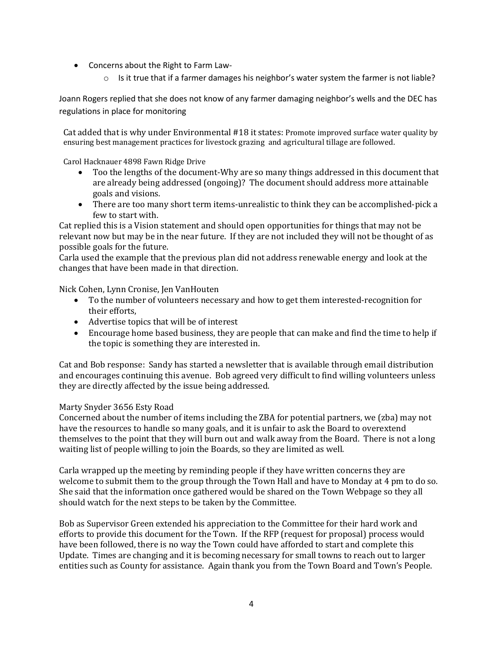- Concerns about the Right to Farm Law-
	- $\circ$  Is it true that if a farmer damages his neighbor's water system the farmer is not liable?

Joann Rogers replied that she does not know of any farmer damaging neighbor's wells and the DEC has regulations in place for monitoring

Cat added that is why under Environmental #18 it states: Promote improved surface water quality by ensuring best management practices for livestock grazing and agricultural tillage are followed.

Carol Hacknauer 4898 Fawn Ridge Drive

- Too the lengths of the document-Why are so many things addressed in this document that are already being addressed (ongoing)? The document should address more attainable goals and visions.
- There are too many short term items-unrealistic to think they can be accomplished-pick a few to start with.

Cat replied this is a Vision statement and should open opportunities for things that may not be relevant now but may be in the near future. If they are not included they will not be thought of as possible goals for the future.

Carla used the example that the previous plan did not address renewable energy and look at the changes that have been made in that direction.

Nick Cohen, Lynn Cronise, Jen VanHouten

- To the number of volunteers necessary and how to get them interested-recognition for their efforts,
- Advertise topics that will be of interest
- Encourage home based business, they are people that can make and find the time to help if the topic is something they are interested in.

Cat and Bob response: Sandy has started a newsletter that is available through email distribution and encourages continuing this avenue. Bob agreed very difficult to find willing volunteers unless they are directly affected by the issue being addressed.

## Marty Snyder 3656 Esty Road

Concerned about the number of items including the ZBA for potential partners, we (zba) may not have the resources to handle so many goals, and it is unfair to ask the Board to overextend themselves to the point that they will burn out and walk away from the Board. There is not a long waiting list of people willing to join the Boards, so they are limited as well.

Carla wrapped up the meeting by reminding people if they have written concerns they are welcome to submit them to the group through the Town Hall and have to Monday at 4 pm to do so. She said that the information once gathered would be shared on the Town Webpage so they all should watch for the next steps to be taken by the Committee.

Bob as Supervisor Green extended his appreciation to the Committee for their hard work and efforts to provide this document for the Town. If the RFP (request for proposal) process would have been followed, there is no way the Town could have afforded to start and complete this Update. Times are changing and it is becoming necessary for small towns to reach out to larger entities such as County for assistance. Again thank you from the Town Board and Town's People.